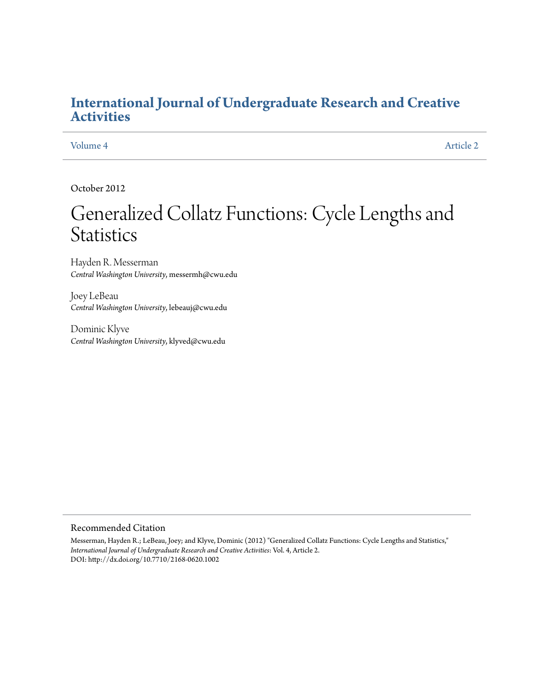## **[International Journal of Undergraduate Research and Creative](https://commons.pacificu.edu/ijurca?utm_source=commons.pacificu.edu%2Fijurca%2Fvol4%2Fiss1%2F2&utm_medium=PDF&utm_campaign=PDFCoverPages) [Activities](https://commons.pacificu.edu/ijurca?utm_source=commons.pacificu.edu%2Fijurca%2Fvol4%2Fiss1%2F2&utm_medium=PDF&utm_campaign=PDFCoverPages)**

[Volume 4](https://commons.pacificu.edu/ijurca/vol4?utm_source=commons.pacificu.edu%2Fijurca%2Fvol4%2Fiss1%2F2&utm_medium=PDF&utm_campaign=PDFCoverPages) [Article 2](https://commons.pacificu.edu/ijurca/vol4/iss1/2?utm_source=commons.pacificu.edu%2Fijurca%2Fvol4%2Fiss1%2F2&utm_medium=PDF&utm_campaign=PDFCoverPages)

October 2012

# Generalized Collatz Functions: Cycle Lengths and **Statistics**

Hayden R. Messerman *Central Washington University*, messermh@cwu.edu

Joey LeBeau *Central Washington University*, lebeauj@cwu.edu

Dominic Klyve *Central Washington University*, klyved@cwu.edu

#### Recommended Citation

Messerman, Hayden R.; LeBeau, Joey; and Klyve, Dominic (2012) "Generalized Collatz Functions: Cycle Lengths and Statistics," *International Journal of Undergraduate Research and Creative Activities*: Vol. 4, Article 2. DOI: http://dx.doi.org/10.7710/2168-0620.1002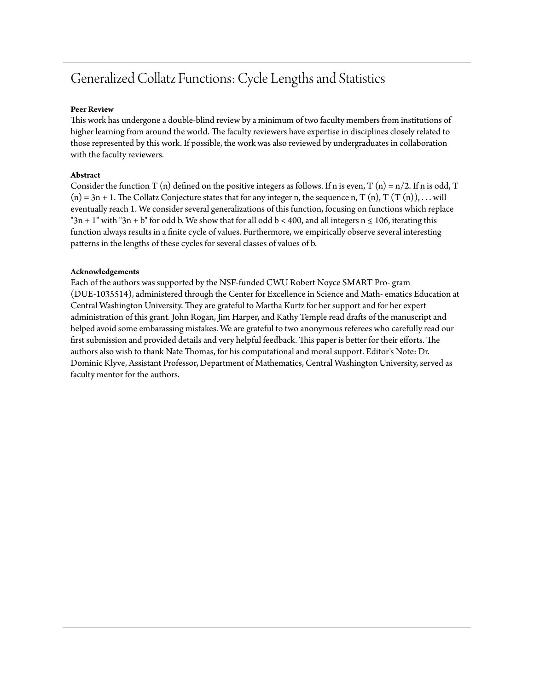# Generalized Collatz Functions: Cycle Lengths and Statistics

#### **Peer Review**

This work has undergone a double-blind review by a minimum of two faculty members from institutions of higher learning from around the world. The faculty reviewers have expertise in disciplines closely related to those represented by this work. If possible, the work was also reviewed by undergraduates in collaboration with the faculty reviewers.

#### **Abstract**

Consider the function T (n) defined on the positive integers as follows. If n is even, T (n) =  $n/2$ . If n is odd, T  $(n) = 3n + 1$ . The Collatz Conjecture states that for any integer n, the sequence n, T  $(n)$ , T  $(T(n))$ , . . . will eventually reach 1. We consider several generalizations of this function, focusing on functions which replace "3n + 1" with "3n + b" for odd b. We show that for all odd b < 400, and all integers  $n \le 106$ , iterating this function always results in a finite cycle of values. Furthermore, we empirically observe several interesting patterns in the lengths of these cycles for several classes of values of b.

#### **Acknowledgements**

Each of the authors was supported by the NSF-funded CWU Robert Noyce SMART Pro- gram (DUE-1035514), administered through the Center for Excellence in Science and Math- ematics Education at Central Washington University. They are grateful to Martha Kurtz for her support and for her expert administration of this grant. John Rogan, Jim Harper, and Kathy Temple read drafts of the manuscript and helped avoid some embarassing mistakes. We are grateful to two anonymous referees who carefully read our first submission and provided details and very helpful feedback. This paper is better for their efforts. The authors also wish to thank Nate Thomas, for his computational and moral support. Editor's Note: Dr. Dominic Klyve, Assistant Professor, Department of Mathematics, Central Washington University, served as faculty mentor for the authors.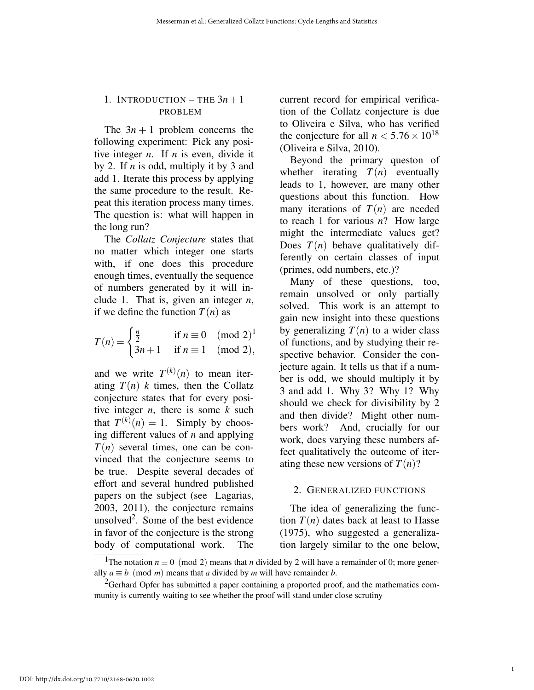#### 1. INTRODUCTION – THE  $3n+1$ PROBLEM

The  $3n + 1$  problem concerns the following experiment: Pick any positive integer *n*. If *n* is even, divide it by 2. If *n* is odd, multiply it by 3 and add 1. Iterate this process by applying the same procedure to the result. Repeat this iteration process many times. The question is: what will happen in the long run?

The *Collatz Conjecture* states that no matter which integer one starts with, if one does this procedure enough times, eventually the sequence of numbers generated by it will include 1. That is, given an integer *n*, if we define the function  $T(n)$  as

$$
T(n) = \begin{cases} \frac{n}{2} & \text{if } n \equiv 0 \pmod{2}^1 \\ 3n+1 & \text{if } n \equiv 1 \pmod{2}, \end{cases}
$$

and we write  $T^{(k)}(n)$  to mean iterating  $T(n)$  *k* times, then the Collatz conjecture states that for every positive integer *n*, there is some *k* such that  $T^{(k)}(n) = 1$ . Simply by choosing different values of *n* and applying  $T(n)$  several times, one can be convinced that the conjecture seems to be true. Despite several decades of effort and several hundred published papers on the subject (see Lagarias, 2003, 2011), the conjecture remains unsolved<sup>2</sup>. Some of the best evidence in favor of the conjecture is the strong body of computational work. The current record for empirical verification of the Collatz conjecture is due to Oliveira e Silva, who has verified the conjecture for all  $n < 5.76 \times 10^{18}$ (Oliveira e Silva, 2010).

Beyond the primary queston of whether iterating  $T(n)$  eventually leads to 1, however, are many other questions about this function. How many iterations of  $T(n)$  are needed to reach 1 for various *n*? How large might the intermediate values get? Does  $T(n)$  behave qualitatively differently on certain classes of input (primes, odd numbers, etc.)?

Many of these questions, too, remain unsolved or only partially solved. This work is an attempt to gain new insight into these questions by generalizing  $T(n)$  to a wider class of functions, and by studying their respective behavior. Consider the conjecture again. It tells us that if a number is odd, we should multiply it by 3 and add 1. Why 3? Why 1? Why should we check for divisibility by 2 and then divide? Might other numbers work? And, crucially for our work, does varying these numbers affect qualitatively the outcome of iterating these new versions of  $T(n)$ ?

#### 2. GENERALIZED FUNCTIONS

The idea of generalizing the function  $T(n)$  dates back at least to Hasse (1975), who suggested a generalization largely similar to the one below,

<sup>&</sup>lt;sup>1</sup>The notation *n*  $\equiv$  0 (mod 2) means that *n* divided by 2 will have a remainder of 0; more generally *a*  $\equiv$  *b* (mod *m*) means that *a* divided by *m* will have remainder *b*.

<sup>&</sup>lt;sup>2</sup>Gerhard Opfer has submitted a paper containing a proported proof, and the mathematics community is currently waiting to see whether the proof will stand under close scrutiny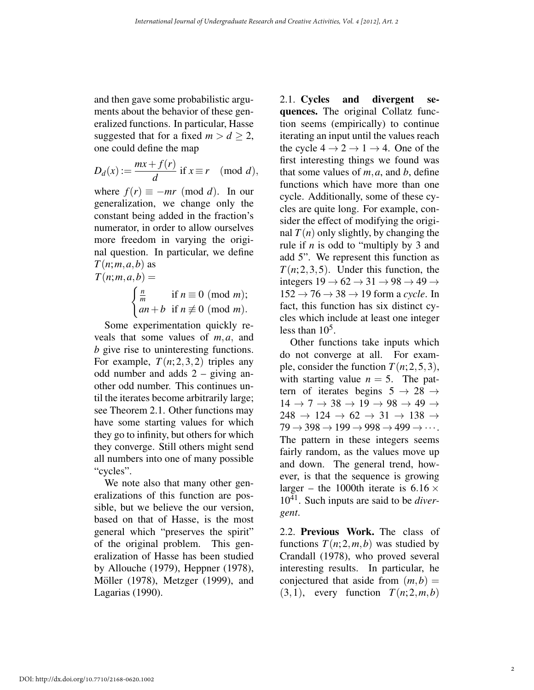and then gave some probabilistic arguments about the behavior of these generalized functions. In particular, Hasse suggested that for a fixed  $m > d > 2$ , one could define the map

$$
D_d(x) := \frac{mx + f(r)}{d} \text{ if } x \equiv r \pmod{d},
$$

where  $f(r) \equiv -mr \pmod{d}$ . In our generalization, we change only the constant being added in the fraction's numerator, in order to allow ourselves more freedom in varying the original question. In particular, we define  $T(n; m, a, b)$  as  $T(n; m, a, b) =$ 

$$
\begin{cases} \frac{n}{m} & \text{if } n \equiv 0 \pmod{m}; \\ an+b & \text{if } n \not\equiv 0 \pmod{m}. \end{cases}
$$

Some experimentation quickly reveals that some values of *m,a,* and *b* give rise to uninteresting functions. For example,  $T(n; 2, 3, 2)$  triples any odd number and adds 2 – giving another odd number. This continues until the iterates become arbitrarily large; see Theorem 2.1. Other functions may have some starting values for which they go to infinity, but others for which they converge. Still others might send all numbers into one of many possible "cycles".

We note also that many other generalizations of this function are possible, but we believe the our version, based on that of Hasse, is the most general which "preserves the spirit" of the original problem. This generalization of Hasse has been studied by Allouche (1979), Heppner (1978), Möller (1978), Metzger (1999), and Lagarias (1990).

2.1. Cycles and divergent sequences. The original Collatz function seems (empirically) to continue iterating an input until the values reach the cycle  $4 \rightarrow 2 \rightarrow 1 \rightarrow 4$ . One of the first interesting things we found was that some values of  $m$ ,  $a$ , and  $b$ , define functions which have more than one cycle. Additionally, some of these cycles are quite long. For example, consider the effect of modifying the original  $T(n)$  only slightly, by changing the rule if *n* is odd to "multiply by 3 and add 5". We represent this function as  $T(n; 2, 3, 5)$ . Under this function, the integers  $19 \rightarrow 62 \rightarrow 31 \rightarrow 98 \rightarrow 49 \rightarrow$  $152 \rightarrow 76 \rightarrow 38 \rightarrow 19$  form a *cycle*. In fact, this function has six distinct cycles which include at least one integer less than  $10^5$ .

Other functions take inputs which do not converge at all. For example, consider the function  $T(n; 2, 5, 3)$ , with starting value  $n = 5$ . The pattern of iterates begins  $5 \rightarrow 28 \rightarrow$  $14 \rightarrow 7 \rightarrow 38 \rightarrow 19 \rightarrow 98 \rightarrow 49 \rightarrow$  $248 \rightarrow 124 \rightarrow 62 \rightarrow 31 \rightarrow 138 \rightarrow$  $79 \rightarrow 398 \rightarrow 199 \rightarrow 998 \rightarrow 499 \rightarrow \cdots$ . The pattern in these integers seems fairly random, as the values move up and down. The general trend, however, is that the sequence is growing larger – the 1000th iterate is  $6.16 \times$ 1041. Such inputs are said to be *divergent*.

2.2. Previous Work. The class of functions  $T(n; 2, m, b)$  was studied by Crandall (1978), who proved several interesting results. In particular, he conjectured that aside from  $(m, b)$  =  $(3,1)$ , every function  $T(n; 2,m,b)$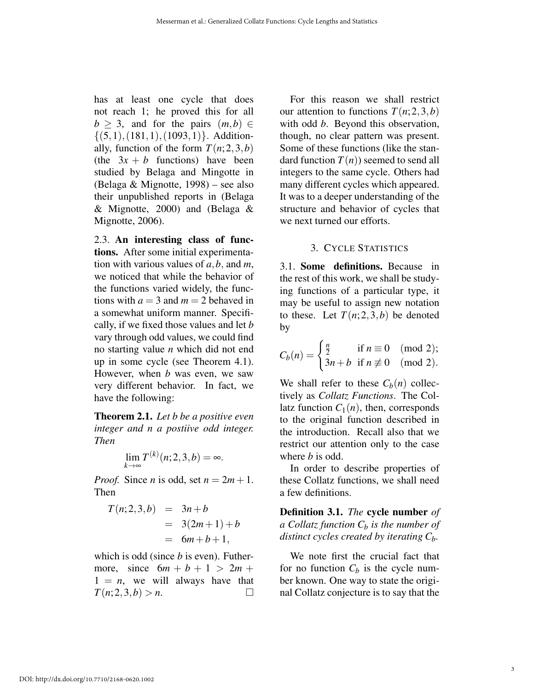has at least one cycle that does not reach 1; he proved this for all  $b > 3$ , and for the pairs  $(m, b) \in$ *{*(5*,*1)*,*(181*,*1)*,*(1093*,*1)*}.* Additionally, function of the form  $T(n; 2, 3, b)$ (the  $3x + b$  functions) have been studied by Belaga and Mingotte in (Belaga & Mignotte, 1998) – see also their unpublished reports in (Belaga & Mignotte, 2000) and (Belaga & Mignotte, 2006).

2.3. An interesting class of functions. After some initial experimentation with various values of *a,b,* and *m*, we noticed that while the behavior of the functions varied widely, the functions with  $a = 3$  and  $m = 2$  behaved in a somewhat uniform manner. Specifically, if we fixed those values and let *b* vary through odd values, we could find no starting value *n* which did not end up in some cycle (see Theorem 4.1). However, when *b* was even, we saw very different behavior. In fact, we have the following:

Theorem 2.1. *Let b be a positive even integer and n a postiive odd integer. Then*

$$
\lim_{k \to \infty} T^{(k)}(n; 2, 3, b) = \infty.
$$

*Proof.* Since *n* is odd, set  $n = 2m + 1$ . Then

$$
T(n; 2, 3, b) = 3n + b
$$
  
= 3(2m + 1) + b  
= 6m + b + 1,

which is odd (since *b* is even). Futhermore, since  $6m + b + 1 > 2m +$  $1 = n$ , we will always have that *T*(*n*; 2*,*3*,b*) *> n*. ⇤

For this reason we shall restrict our attention to functions  $T(n; 2, 3, b)$ with odd *b*. Beyond this observation, though, no clear pattern was present. Some of these functions (like the standard function  $T(n)$ ) seemed to send all integers to the same cycle. Others had many different cycles which appeared. It was to a deeper understanding of the structure and behavior of cycles that we next turned our efforts.

#### 3. CYCLE STATISTICS

3.1. Some definitions. Because in the rest of this work, we shall be studying functions of a particular type, it may be useful to assign new notation to these. Let  $T(n; 2, 3, b)$  be denoted by

$$
C_b(n) = \begin{cases} \frac{n}{2} & \text{if } n \equiv 0 \pmod{2}; \\ 3n + b & \text{if } n \not\equiv 0 \pmod{2}. \end{cases}
$$

We shall refer to these  $C_b(n)$  collectively as *Collatz Functions*. The Collatz function  $C_1(n)$ , then, corresponds to the original function described in the introduction. Recall also that we restrict our attention only to the case where *b* is odd.

In order to describe properties of these Collatz functions, we shall need a few definitions.

Definition 3.1. *The* cycle number *of a Collatz function*  $C_b$  *is the number of distinct cycles created by iterating Cb.*

We note first the crucial fact that for no function  $C_b$  is the cycle number known. One way to state the original Collatz conjecture is to say that the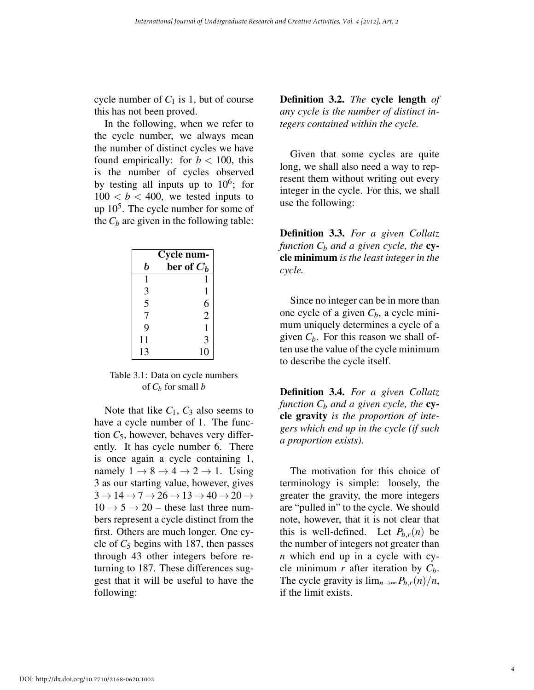cycle number of  $C_1$  is 1, but of course this has not been proved.

In the following, when we refer to the cycle number, we always mean the number of distinct cycles we have found empirically: for  $b < 100$ , this is the number of cycles observed by testing all inputs up to  $10^6$ ; for  $100 < b < 400$ , we tested inputs to up  $10<sup>5</sup>$ . The cycle number for some of the  $C_b$  are given in the following table:

| Cycle num-     |               |  |
|----------------|---------------|--|
| b              | ber of $C_b$  |  |
| 1              |               |  |
| 3              | 1             |  |
| $\overline{5}$ | $\frac{6}{2}$ |  |
| $\overline{7}$ |               |  |
| 9              | 1             |  |
| 11             | 3             |  |
| 13             | 10            |  |

Table 3.1: Data on cycle numbers of  $C_b$  for small  $b$ 

Note that like  $C_1$ ,  $C_3$  also seems to have a cycle number of 1. The function  $C_5$ , however, behaves very differently. It has cycle number 6. There is once again a cycle containing 1, namely  $1 \rightarrow 8 \rightarrow 4 \rightarrow 2 \rightarrow 1$ . Using 3 as our starting value, however, gives  $3 \rightarrow 14 \rightarrow 7 \rightarrow 26 \rightarrow 13 \rightarrow 40 \rightarrow 20 \rightarrow$  $10 \rightarrow 5 \rightarrow 20$  – these last three numbers represent a cycle distinct from the first. Others are much longer. One cycle of  $C_5$  begins with 187, then passes through 43 other integers before returning to 187. These differences suggest that it will be useful to have the following:

Definition 3.2. *The* cycle length *of any cycle is the number of distinct integers contained within the cycle.*

Given that some cycles are quite long, we shall also need a way to represent them without writing out every integer in the cycle. For this, we shall use the following:

Definition 3.3. *For a given Collatz function*  $C_b$  *and a given cycle, the* **cy**cle minimum *is the least integer in the cycle.*

Since no integer can be in more than one cycle of a given  $C_b$ , a cycle minimum uniquely determines a cycle of a given  $C_b$ . For this reason we shall often use the value of the cycle minimum to describe the cycle itself.

Definition 3.4. *For a given Collatz function*  $C_b$  *and a given cycle, the* **cy**cle gravity *is the proportion of integers which end up in the cycle (if such a proportion exists).*

The motivation for this choice of terminology is simple: loosely, the greater the gravity, the more integers are "pulled in" to the cycle. We should note, however, that it is not clear that this is well-defined. Let  $P_{h,r}(n)$  be the number of integers not greater than *n* which end up in a cycle with cycle minimum  $r$  after iteration by  $C_b$ . The cycle gravity is  $\lim_{n\to\infty} P_{b,r}(n)/n$ , if the limit exists.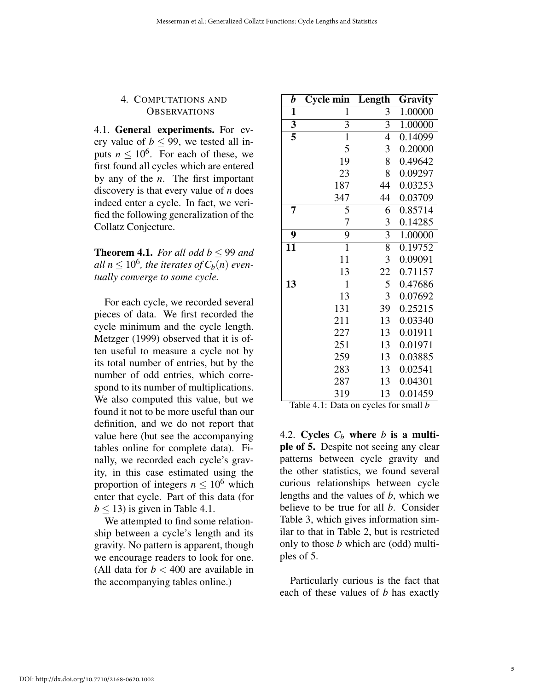#### 4. COMPUTATIONS AND **OBSERVATIONS**

4.1. General experiments. For every value of  $b < 99$ , we tested all inputs  $n \leq 10^6$ . For each of these, we first found all cycles which are entered by any of the *n*. The first important discovery is that every value of *n* does indeed enter a cycle. In fact, we verified the following generalization of the Collatz Conjecture.

**Theorem 4.1.** For all odd  $b < 99$  and *all*  $n \leq 10^6$ , the iterates of  $C_b(n)$  even*tually converge to some cycle.*

For each cycle, we recorded several pieces of data. We first recorded the cycle minimum and the cycle length. Metzger (1999) observed that it is often useful to measure a cycle not by its total number of entries, but by the number of odd entries, which correspond to its number of multiplications. We also computed this value, but we found it not to be more useful than our definition, and we do not report that value here (but see the accompanying tables online for complete data). Finally, we recorded each cycle's gravity, in this case estimated using the proportion of integers  $n \leq 10^6$  which enter that cycle. Part of this data (for  $b < 13$ ) is given in Table 4.1.

We attempted to find some relationship between a cycle's length and its gravity. No pattern is apparent, though we encourage readers to look for one. (All data for  $b < 400$  are available in the accompanying tables online.)

| b                       | <b>Cycle min</b> | Length         | Gravity |
|-------------------------|------------------|----------------|---------|
| $\mathbf{1}$            | 1                | 3              | 1.00000 |
| $\overline{\mathbf{3}}$ | $\overline{3}$   | $\overline{3}$ | 1.00000 |
| $\overline{5}$          | $\mathbf{1}$     | 4              | 0.14099 |
|                         | 5                | 3              | 0.20000 |
|                         | 19               | 8              | 0.49642 |
|                         | 23               | 8              | 0.09297 |
|                         | 187              | 44             | 0.03253 |
|                         | 347              | 44             | 0.03709 |
| 7                       | 5                | 6              | 0.85714 |
|                         | 7                | 3              | 0.14285 |
| 9                       | $\overline{9}$   | $\overline{3}$ | 1.00000 |
| $\overline{11}$         | $\mathbf{1}$     | 8              | 0.19752 |
|                         | 11               | 3              | 0.09091 |
|                         | 13               | 22             | 0.71157 |
| $\overline{13}$         | $\mathbf{1}$     | $\overline{5}$ | 0.47686 |
|                         | 13               | 3              | 0.07692 |
|                         | 131              | 39             | 0.25215 |
|                         | 211              | 13             | 0.03340 |
|                         | 227              | 13             | 0.01911 |
|                         | 251              | 13             | 0.01971 |
|                         | 259              | 13             | 0.03885 |
|                         | 283              | 13             | 0.02541 |
|                         | 287              | 13             | 0.04301 |
|                         | 319              | 13             | 0.01459 |

Table 4.1: Data on cycles for small *b*

4.2. Cycles  $C_b$  where *b* is a multiple of 5. Despite not seeing any clear patterns between cycle gravity and the other statistics, we found several curious relationships between cycle lengths and the values of *b*, which we believe to be true for all *b*. Consider Table 3, which gives information similar to that in Table 2, but is restricted only to those *b* which are (odd) multiples of 5.

Particularly curious is the fact that each of these values of *b* has exactly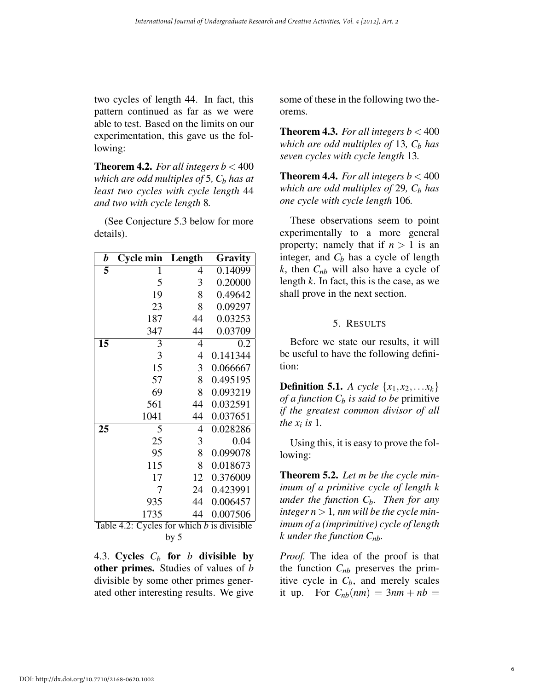two cycles of length 44. In fact, this pattern continued as far as we were able to test. Based on the limits on our experimentation, this gave us the following:

**Theorem 4.2.** *For all integers b*  $<$  400 *which are odd multiples of* 5,  $C_b$  *has at least two cycles with cycle length* 44 *and two with cycle length* 8*.*

(See Conjecture 5.3 below for more details).

| b         | Cycle min          | Length                       | Gravity              |
|-----------|--------------------|------------------------------|----------------------|
| 5         | 1                  | $\overline{4}$               | 0.14099              |
|           | 5                  | 3                            | 0.20000              |
|           | 19                 | 8                            | 0.49642              |
|           | 23                 | 8                            | 0.09297              |
|           | 187                | 44                           | 0.03253              |
|           | 347                | 44                           | 0.03709              |
| 15        | 3                  | $\overline{4}$               | 0.2                  |
|           | 3                  | $\overline{4}$               | 0.141344             |
|           | 15                 | 3                            | 0.066667             |
|           | 57                 | 8                            | 0.495195             |
|           | 69                 | 8                            | 0.093219             |
|           | 561                | 44                           | 0.032591             |
|           | 1041               | 44                           | 0.037651             |
| 25        | 5                  | $\overline{4}$               | 0.028286             |
|           | 25                 | 3                            | 0.04                 |
|           | 95                 | 8                            | 0.099078             |
|           | 115                | 8                            | 0.018673             |
|           | 17                 | 12                           | 0.376009             |
|           | 7                  | 24                           | 0.423991             |
|           | 935                | 44                           | 0.006457             |
| $T = 1.1$ | 1735<br>$\sqrt{2}$ | 44<br>1.3.1.<br>$\mathbf{r}$ | 0.007506<br>11.11111 |

Table 4.2: Cycles for which *b* is divisible by 5

4.3. Cycles  $C_b$  for *b* divisible by other primes. Studies of values of *b* divisible by some other primes generated other interesting results. We give some of these in the following two theorems.

**Theorem 4.3.** For all integers  $b < 400$ *which are odd multiples of* 13*, C<sub>b</sub> has seven cycles with cycle length* 13*.*

**Theorem 4.4.** *For all integers b*  $<$  400 *which are odd multiples of* 29,  $C_b$  *has one cycle with cycle length* 106*.*

These observations seem to point experimentally to a more general property; namely that if  $n > 1$  is an integer, and  $C_b$  has a cycle of length  $k$ , then  $C_{nb}$  will also have a cycle of length *k*. In fact, this is the case, as we shall prove in the next section.

### 5. RESULTS

Before we state our results, it will be useful to have the following definition:

**Definition 5.1.** *A cycle*  $\{x_1, x_2, \ldots, x_k\}$ *of a function*  $C_b$  *is said to be primitive if the greatest common divisor of all the*  $x_i$  *is* 1.

Using this, it is easy to prove the following:

Theorem 5.2. *Let m be the cycle minimum of a primitive cycle of length k under the function*  $C_b$ . *Then for any integer n >* 1*, nm will be the cycle minimum of a (imprimitive) cycle of length k under the function Cnb.*

*Proof.* The idea of the proof is that the function  $C_{nb}$  preserves the primitive cycle in  $C_b$ , and merely scales it up. For  $C_{nb}(nm) = 3nm + nb =$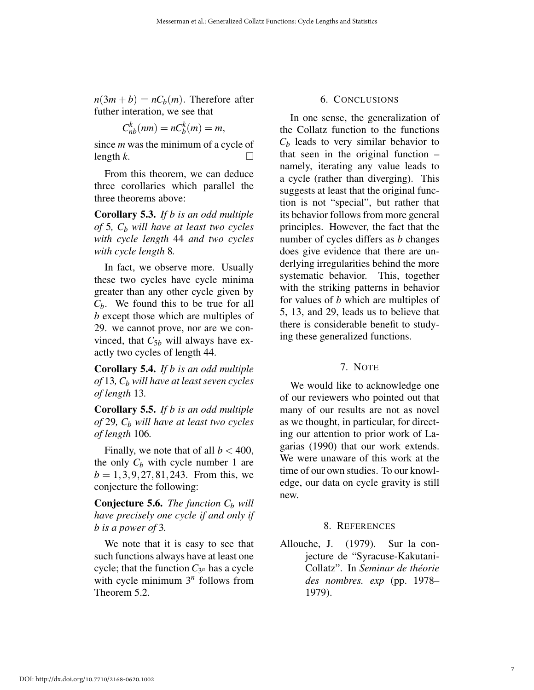$n(3m + b) = nC_b(m)$ . Therefore after futher interation, we see that

$$
C_{nb}^k(nm) = nC_b^k(m) = m,
$$

since *m* was the minimum of a cycle of  $\Box$  length *k*.

From this theorem, we can deduce three corollaries which parallel the three theorems above:

Corollary 5.3. *If b is an odd multiple of* 5,  $C_b$  *will have at least two cycles with cycle length* 44 *and two cycles with cycle length* 8*.*

In fact, we observe more. Usually these two cycles have cycle minima greater than any other cycle given by *Cb*. We found this to be true for all *b* except those which are multiples of 29. we cannot prove, nor are we convinced, that  $C_{5b}$  will always have exactly two cycles of length 44.

Corollary 5.4. *If b is an odd multiple of* 13*, Cb will have at least seven cycles of length* 13*.*

Corollary 5.5. *If b is an odd multiple of* 29*, Cb will have at least two cycles of length* 106*.*

Finally, we note that of all  $b < 400$ , the only  $C_b$  with cycle number 1 are *b* = 1*,*3*,*9*,*27*,*81*,*243. From this, we conjecture the following:

**Conjecture 5.6.** *The function*  $C_b$  *will have precisely one cycle if and only if b is a power of* 3*.*

We note that it is easy to see that such functions always have at least one cycle; that the function  $C_{3^n}$  has a cycle with cycle minimum  $3<sup>n</sup>$  follows from Theorem 5.2.

#### 6. CONCLUSIONS

In one sense, the generalization of the Collatz function to the functions  $C_b$  leads to very similar behavior to that seen in the original function – namely, iterating any value leads to a cycle (rather than diverging). This suggests at least that the original function is not "special", but rather that its behavior follows from more general principles. However, the fact that the number of cycles differs as *b* changes does give evidence that there are underlying irregularities behind the more systematic behavior. This, together with the striking patterns in behavior for values of *b* which are multiples of 5, 13, and 29, leads us to believe that there is considerable benefit to studying these generalized functions.

#### 7. NOTE

We would like to acknowledge one of our reviewers who pointed out that many of our results are not as novel as we thought, in particular, for directing our attention to prior work of Lagarias (1990) that our work extends. We were unaware of this work at the time of our own studies. To our knowledge, our data on cycle gravity is still new.

#### 8. REFERENCES

Allouche, J. (1979). Sur la conjecture de "Syracuse-Kakutani-Collatz". In *Seminar de theorie ´ des nombres. exp* (pp. 1978– 1979).